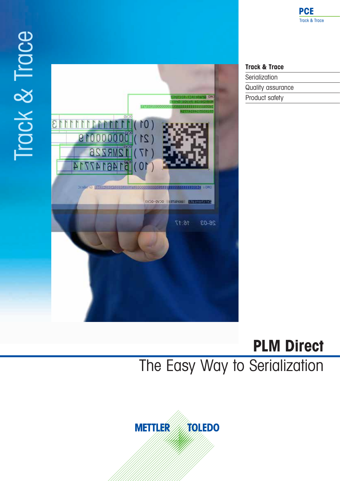# Track & Trace Track & Trace



## **Track & Trace**

Serialization Quality assurance Product safety

# **PLM Direct**  The Easy Way to Serialization

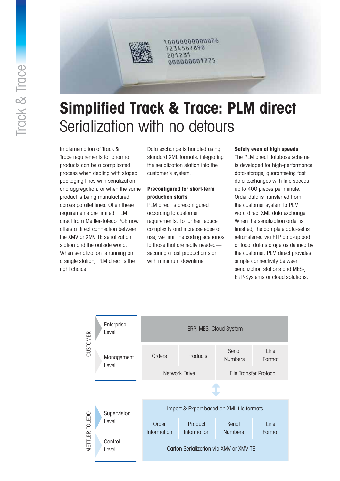

1000000000076 1234567890 201231 000000001775

# **Simplified Track & Trace: PLM direct** Serialization with no detours

Implementation of Track & Trace requirements for pharma products can be a complicated process when dealing with staged packaging lines with serialization and aggregation, or when the same product is being manufactured across parallel lines. Often these requirements are limited. PLM direct from Mettler-Toledo PCE now offers a direct connection between the XMV or XMV TE serialization station and the outside world. When serialization is running on a single station, PLM direct is the right choice.

Data exchange is handled using standard XML formats, integrating the serialization station into the customer's system.

### **Preconfigured for short-term production starts**

PLM direct is preconfigured according to customer requirements. To further reduce complexity and increase ease of use, we limit the coding scenarios to those that are really needed securing a fast production start with minimum downtime.

#### **Safety even at high speeds**

The PLM direct database scheme is developed for high-performance data-storage, guaranteeing fast data-exchanges with line speeds up to 400 pieces per minute. Order data is transferred from the customer system to PLM via a direct XML data exchange. When the serialization order is finished, the complete data-set is retransferred via FTP data-upload or local data storage as defined by the customer. PLM direct provides simple connectivity between serialization stations and MES-, ERP-Systems or cloud solutions.

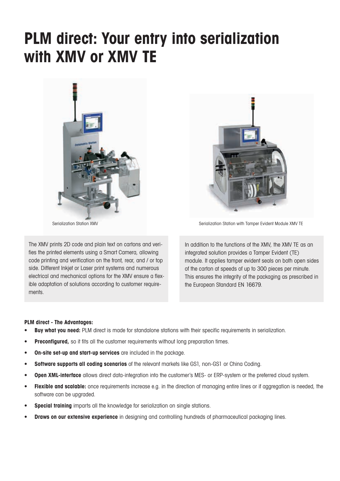# **PLM direct: Your entry into serialization with XMV or XMV TE**



The XMV prints 2D code and plain text on cartons and verifies the printed elements using a Smart Camera, allowing code printing and verification on the front, rear, and / or top side. Different Inkjet or Laser print systems and numerous electrical and mechanical options for the XMV ensure a flexible adaptation of solutions according to customer requirements.



Serialization Station XMV Serialization Station with Tamper Evident Module XMV TE

In addition to the functions of the XMV, the XMV TE as an integrated solution provides a Tamper Evident (TE) module. It applies tamper evident seals on both open sides of the carton at speeds of up to 300 pieces per minute. This ensures the integrity of the packaging as prescribed in the European Standard EN 16679.

#### **PLM direct - The Advantages:**

- **Buy what you need:** PLM direct is made for standalone stations with their specific requirements in serialization.
- **Preconfigured,** so it fits all the customer requirements without long preparation times.
- **• On-site set-up and start-up services** are included in the package.
- **• Software supports all coding scenarios** of the relevant markets like GS1, non-GS1 or China Coding.
- **• Open XML-interface** allows direct data-integration into the customer's MES- or ERP-system or the preferred cloud system.
- **• Flexible and scalable:** once requirements increase e.g. in the direction of managing entire lines or if aggregation is needed, the software can be upgraded.
- **Special training** imparts all the knowledge for serialization on single stations.
- **Draws on our extensive experience** in designing and controlling hundreds of pharmaceutical packaging lines.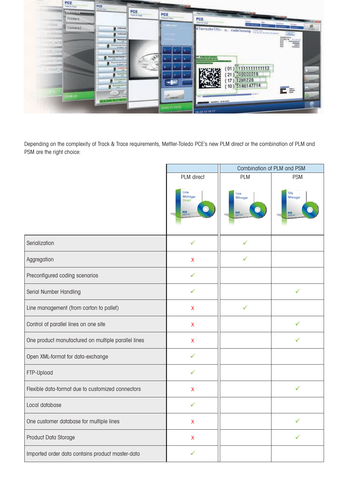

Depending on the complexity of Track & Trace requirements, Mettler-Toledo PCE's new PLM direct or the combination of PLM and PSM are the right choice:

|                                                     |                                                                                             | Combination of PLM and PSM                                                  |                                                                   |
|-----------------------------------------------------|---------------------------------------------------------------------------------------------|-----------------------------------------------------------------------------|-------------------------------------------------------------------|
|                                                     | PLM direct<br>Line<br>Manager<br><b>Direct</b><br>$\tfrac{\text{PCE}}{\text{host } \theta}$ | PLM<br>Line<br>Manager<br>$\bullet$<br>$\frac{\text{PCE}}{\text{loss 4.5}}$ | <b>PSM</b><br>Site<br>Manager<br>$rac{\text{PCE}}{\text{max}(k)}$ |
| Serialization                                       | $\checkmark$                                                                                | $\checkmark$                                                                |                                                                   |
| Aggregation                                         | $\pmb{\mathsf{X}}$                                                                          | $\checkmark$                                                                |                                                                   |
| Preconfigured coding scenarios                      | ✓                                                                                           |                                                                             |                                                                   |
| Serial Number Handling                              | ✓                                                                                           |                                                                             |                                                                   |
| Line management (from carton to pallet)             | $\mathsf{X}$                                                                                | $\checkmark$                                                                |                                                                   |
| Control of parallel lines on one site               | $\pmb{\mathsf{X}}$                                                                          |                                                                             | ✓                                                                 |
| One product manufactured on multiple parallel lines | $\pmb{\mathsf{X}}$                                                                          |                                                                             |                                                                   |
| Open XML-format for data-exchange                   | ✓                                                                                           |                                                                             |                                                                   |
| FTP-Upload                                          | ✓                                                                                           |                                                                             |                                                                   |
| Flexible data-format due to customized connectors   | $\mathsf{X}$                                                                                |                                                                             | ✓                                                                 |
| Local database                                      | ✓                                                                                           |                                                                             |                                                                   |
| One customer database for multiple lines            | X.                                                                                          |                                                                             | $\checkmark$                                                      |
| Product Data Storage                                | $\pmb{\mathsf{X}}$                                                                          |                                                                             | $\checkmark$                                                      |
| Imported order data contains product master-data    | $\checkmark$                                                                                |                                                                             |                                                                   |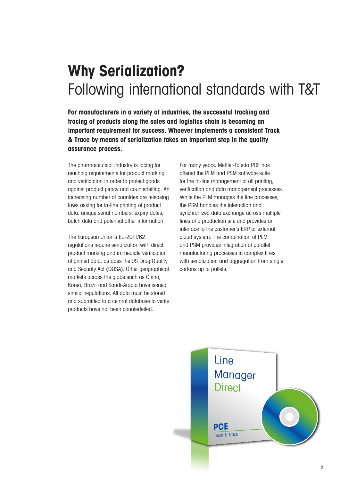## **Why Serialization?** Following international standards with T&T

**For manufacturers in a variety of industries, the successful tracking and tracing of products along the sales and logistics chain is becoming an important requirement for success. Whoever implements a consistent Track & Trace by means of serialization takes an important step in the quality assurance process.**

The pharmaceutical industry is facing far reaching requirements for product marking and verification in order to protect goods against product piracy and counterfeiting. An increasing number of countries are releasing laws asking for in-line printing of product data, unique serial numbers, expiry dates, batch data and potential other information.

The European Union's EU-2011/62 regulations require serialization with direct product marking and immediate verification of printed data, as does the US Drug Quality and Security Act (DQSA). Other geographical markets across the globe such as China, Korea, Brazil and Saudi-Arabia have issued similar regulations. All data must be stored and submitted to a central database to verify products have not been counterfeited.

For many years, Mettler-Toledo PCE has offered the PLM and PSM software suite for the in-line management of all printing, verification and data management processes. While the PLM manages the line processes, the PSM handles the interaction and synchronized data exchange across multiple lines of a production site and provides an interface to the customer's ERP or external cloud system. The combination of PLM and PSM provides integration of parallel manufacturing processes in complex lines with serialization and aggregation from single cartons up to pallets.